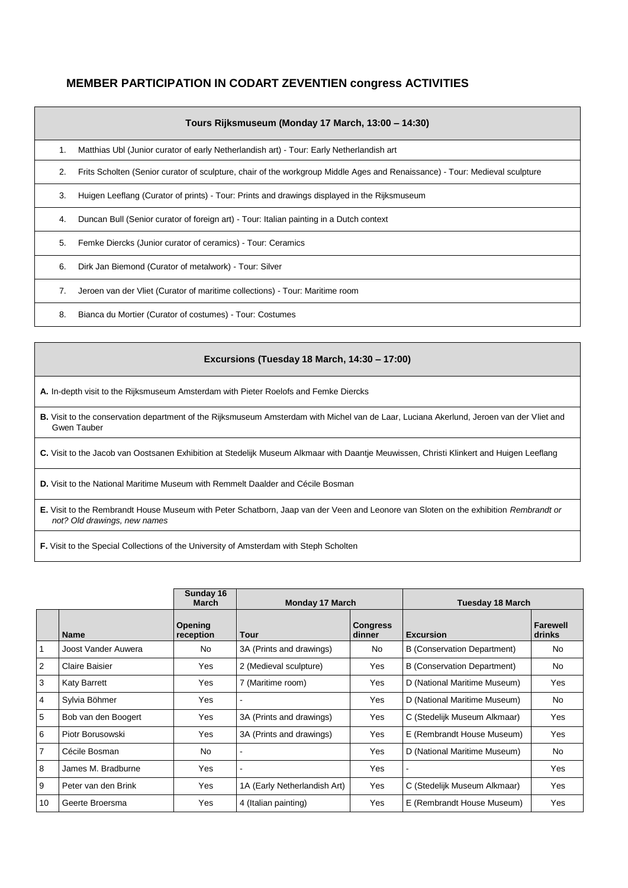# **MEMBER PARTICIPATION IN CODART ZEVENTIEN congress ACTIVITIES**

|    | Tours Rijksmuseum (Monday 17 March, 13:00 – 14:30)                                                                          |
|----|-----------------------------------------------------------------------------------------------------------------------------|
| 1. | Matthias Ubl (Junior curator of early Netherlandish art) - Tour: Early Netherlandish art                                    |
| 2. | Frits Scholten (Senior curator of sculpture, chair of the workgroup Middle Ages and Renaissance) - Tour: Medieval sculpture |
| 3. | Huigen Leeflang (Curator of prints) - Tour: Prints and drawings displayed in the Rijksmuseum                                |
| 4. | Duncan Bull (Senior curator of foreign art) - Tour: Italian painting in a Dutch context                                     |
| 5. | Femke Diercks (Junior curator of ceramics) - Tour: Ceramics                                                                 |
| 6. | Dirk Jan Biemond (Curator of metalwork) - Tour: Silver                                                                      |
| 7. | Jeroen van der Vliet (Curator of maritime collections) - Tour: Maritime room                                                |
| 8. | Bianca du Mortier (Curator of costumes) - Tour: Costumes                                                                    |

## **Excursions (Tuesday 18 March, 14:30 – 17:00)**

**A.** In-depth visit to the Rijksmuseum Amsterdam with Pieter Roelofs and Femke Diercks

**B.** Visit to the conservation department of the Rijksmuseum Amsterdam with Michel van de Laar, Luciana Akerlund, Jeroen van der Vliet and Gwen Tauber

**C.** Visit to the Jacob van Oostsanen Exhibition at Stedelijk Museum Alkmaar with Daantje Meuwissen, Christi Klinkert and Huigen Leeflang

**D.** Visit to the National Maritime Museum with Remmelt Daalder and Cécile Bosman

**E.** Visit to the Rembrandt House Museum with Peter Schatborn, Jaap van der Veen and Leonore van Sloten on the exhibition *Rembrandt or not? Old drawings, new names*

**F.** Visit to the Special Collections of the University of Amsterdam with Steph Scholten

|                |                     | Sunday 16<br><b>March</b> | <b>Monday 17 March</b>       |                           | Tuesday 18 March                   |                           |
|----------------|---------------------|---------------------------|------------------------------|---------------------------|------------------------------------|---------------------------|
|                | <b>Name</b>         | Opening<br>reception      | <b>Tour</b>                  | <b>Congress</b><br>dinner | <b>Excursion</b>                   | <b>Farewell</b><br>drinks |
|                | Joost Vander Auwera | No                        | 3A (Prints and drawings)     | No.                       | <b>B</b> (Conservation Department) | No                        |
| 2              | Claire Baisier      | Yes                       | 2 (Medieval sculpture)       | Yes                       | <b>B</b> (Conservation Department) | No                        |
| 3              | <b>Katy Barrett</b> | Yes                       | 7 (Maritime room)            | Yes                       | D (National Maritime Museum)       | Yes                       |
| 4              | Sylvia Böhmer       | Yes                       |                              | Yes                       | D (National Maritime Museum)       | No                        |
| 5              | Bob van den Boogert | Yes                       | 3A (Prints and drawings)     | Yes                       | C (Stedelijk Museum Alkmaar)       | Yes                       |
| 6              | Piotr Borusowski    | Yes                       | 3A (Prints and drawings)     | Yes                       | E (Rembrandt House Museum)         | Yes                       |
| $\overline{7}$ | Cécile Bosman       | No.                       |                              | Yes                       | D (National Maritime Museum)       | No                        |
| 8              | James M. Bradburne  | Yes                       |                              | Yes.                      |                                    | Yes                       |
| 9              | Peter van den Brink | Yes                       | 1A (Early Netherlandish Art) | Yes                       | C (Stedelijk Museum Alkmaar)       | Yes                       |
| 10             | Geerte Broersma     | Yes                       | 4 (Italian painting)         | Yes                       | E (Rembrandt House Museum)         | Yes                       |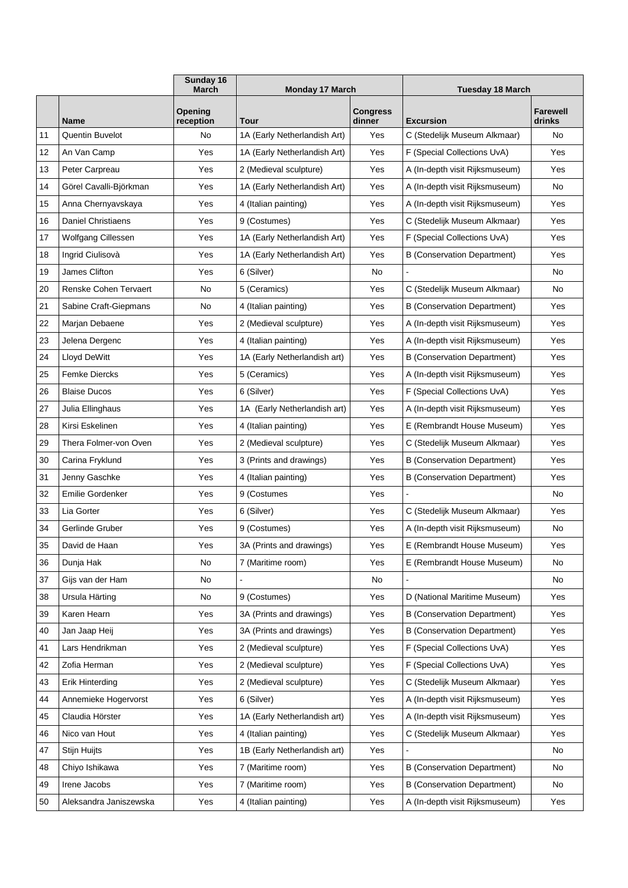|    |                           | Sunday 16<br><b>March</b> | <b>Monday 17 March</b>       |                           | <b>Tuesday 18 March</b>            |                           |
|----|---------------------------|---------------------------|------------------------------|---------------------------|------------------------------------|---------------------------|
|    | <b>Name</b>               | Opening<br>reception      | <b>Tour</b>                  | <b>Congress</b><br>dinner | Excursion                          | <b>Farewell</b><br>drinks |
| 11 | Quentin Buvelot           | No                        | 1A (Early Netherlandish Art) | Yes                       | C (Stedelijk Museum Alkmaar)       | No                        |
| 12 | An Van Camp               | Yes                       | 1A (Early Netherlandish Art) | Yes                       | F (Special Collections UvA)        | Yes                       |
| 13 | Peter Carpreau            | Yes                       | 2 (Medieval sculpture)       | Yes                       | A (In-depth visit Rijksmuseum)     | Yes                       |
| 14 | Görel Cavalli-Björkman    | Yes                       | 1A (Early Netherlandish Art) | Yes                       | A (In-depth visit Rijksmuseum)     | No.                       |
| 15 | Anna Chernyavskaya        | Yes                       | 4 (Italian painting)         | Yes                       | A (In-depth visit Rijksmuseum)     | Yes                       |
| 16 | <b>Daniel Christiaens</b> | Yes                       | 9 (Costumes)                 | Yes                       | C (Stedelijk Museum Alkmaar)       | Yes                       |
| 17 | Wolfgang Cillessen        | Yes                       | 1A (Early Netherlandish Art) | Yes                       | F (Special Collections UvA)        | Yes                       |
| 18 | Ingrid Ciulisovà          | Yes                       | 1A (Early Netherlandish Art) | Yes                       | <b>B</b> (Conservation Department) | Yes                       |
| 19 | James Clifton             | Yes                       | 6 (Silver)                   | No                        |                                    | No                        |
| 20 | Renske Cohen Tervaert     | No                        | 5 (Ceramics)                 | Yes                       | C (Stedelijk Museum Alkmaar)       | No                        |
| 21 | Sabine Craft-Giepmans     | No                        | 4 (Italian painting)         | Yes                       | <b>B</b> (Conservation Department) | Yes                       |
| 22 | Marjan Debaene            | Yes                       | 2 (Medieval sculpture)       | Yes                       | A (In-depth visit Rijksmuseum)     | Yes                       |
| 23 | Jelena Dergenc            | Yes                       | 4 (Italian painting)         | Yes                       | A (In-depth visit Rijksmuseum)     | Yes                       |
| 24 | <b>Lloyd DeWitt</b>       | Yes                       | 1A (Early Netherlandish art) | Yes                       | <b>B</b> (Conservation Department) | Yes                       |
| 25 | <b>Femke Diercks</b>      | Yes                       | 5 (Ceramics)                 | Yes                       | A (In-depth visit Rijksmuseum)     | Yes                       |
| 26 | <b>Blaise Ducos</b>       | Yes                       | 6 (Silver)                   | Yes                       | F (Special Collections UvA)        | Yes                       |
| 27 | Julia Ellinghaus          | Yes                       | 1A (Early Netherlandish art) | Yes                       | A (In-depth visit Rijksmuseum)     | Yes                       |
| 28 | Kirsi Eskelinen           | Yes                       | 4 (Italian painting)         | Yes                       | E (Rembrandt House Museum)         | Yes                       |
| 29 | Thera Folmer-von Oven     | Yes                       | 2 (Medieval sculpture)       | Yes                       | C (Stedelijk Museum Alkmaar)       | Yes                       |
| 30 | Carina Fryklund           | Yes                       | 3 (Prints and drawings)      | Yes                       | <b>B</b> (Conservation Department) | Yes                       |
| 31 | Jenny Gaschke             | Yes                       | 4 (Italian painting)         | Yes                       | <b>B</b> (Conservation Department) | Yes                       |
| 32 | <b>Emilie Gordenker</b>   | Yes                       | 9 (Costumes                  | Yes                       |                                    | No                        |
| 33 | Lia Gorter                | Yes                       | 6 (Silver)                   | Yes                       | C (Stedelijk Museum Alkmaar)       | Yes                       |
| 34 | Gerlinde Gruber           | Yes                       | 9 (Costumes)                 | Yes                       | A (In-depth visit Rijksmuseum)     | No                        |
| 35 | David de Haan             | Yes                       | 3A (Prints and drawings)     | Yes                       | E (Rembrandt House Museum)         | Yes                       |
| 36 | Dunja Hak                 | No                        | 7 (Maritime room)            | Yes                       | E (Rembrandt House Museum)         | No                        |
| 37 | Gijs van der Ham          | No                        |                              | No                        |                                    | No                        |
| 38 | Ursula Härting            | No                        | 9 (Costumes)                 | Yes                       | D (National Maritime Museum)       | Yes                       |
| 39 | Karen Hearn               | Yes                       | 3A (Prints and drawings)     | Yes                       | <b>B</b> (Conservation Department) | Yes                       |
| 40 | Jan Jaap Heij             | Yes                       | 3A (Prints and drawings)     | Yes                       | <b>B</b> (Conservation Department) | Yes                       |
| 41 | Lars Hendrikman           | Yes                       | 2 (Medieval sculpture)       | Yes                       | F (Special Collections UvA)        | Yes                       |
| 42 | Zofia Herman              | Yes                       | 2 (Medieval sculpture)       | Yes                       | F (Special Collections UvA)        | Yes                       |
| 43 | <b>Erik Hinterding</b>    | Yes                       | 2 (Medieval sculpture)       | Yes                       | C (Stedelijk Museum Alkmaar)       | Yes                       |
| 44 | Annemieke Hogervorst      | Yes                       | 6 (Silver)                   | Yes                       | A (In-depth visit Rijksmuseum)     | Yes                       |
| 45 | Claudia Hörster           | Yes                       | 1A (Early Netherlandish art) | Yes                       | A (In-depth visit Rijksmuseum)     | Yes                       |
| 46 | Nico van Hout             | Yes                       | 4 (Italian painting)         | Yes                       | C (Stedelijk Museum Alkmaar)       | Yes                       |
| 47 | Stijn Huijts              | Yes                       | 1B (Early Netherlandish art) | Yes                       |                                    | No                        |
| 48 | Chiyo Ishikawa            | Yes                       | 7 (Maritime room)            | Yes                       | <b>B</b> (Conservation Department) | No                        |
| 49 | Irene Jacobs              | Yes                       | 7 (Maritime room)            | Yes                       | <b>B</b> (Conservation Department) | No                        |
| 50 | Aleksandra Janiszewska    | Yes                       | 4 (Italian painting)         | Yes                       | A (In-depth visit Rijksmuseum)     | Yes                       |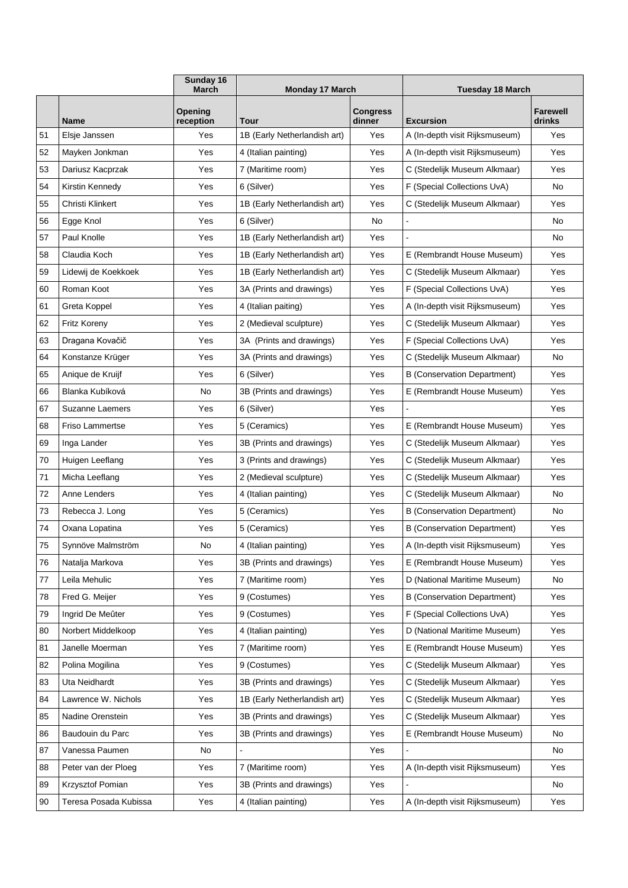|    |                       | Sunday 16<br><b>March</b> | <b>Monday 17 March</b>       |                           | <b>Tuesday 18 March</b>            |                           |
|----|-----------------------|---------------------------|------------------------------|---------------------------|------------------------------------|---------------------------|
|    | Name                  | Opening<br>reception      | Tour                         | <b>Congress</b><br>dinner | Excursion                          | <b>Farewell</b><br>drinks |
| 51 | Elsje Janssen         | Yes                       | 1B (Early Netherlandish art) | Yes                       | A (In-depth visit Rijksmuseum)     | Yes                       |
| 52 | Mayken Jonkman        | Yes                       | 4 (Italian painting)         | Yes                       | A (In-depth visit Rijksmuseum)     | Yes                       |
| 53 | Dariusz Kacprzak      | Yes                       | 7 (Maritime room)            | Yes                       | C (Stedelijk Museum Alkmaar)       | Yes                       |
| 54 | Kirstin Kennedy       | Yes                       | 6 (Silver)                   | Yes                       | F (Special Collections UvA)        | No                        |
| 55 | Christi Klinkert      | Yes                       | 1B (Early Netherlandish art) | Yes                       | C (Stedelijk Museum Alkmaar)       | Yes                       |
| 56 | Egge Knol             | Yes                       | 6 (Silver)                   | No                        |                                    | No                        |
| 57 | Paul Knolle           | Yes                       | 1B (Early Netherlandish art) | Yes                       |                                    | No                        |
| 58 | Claudia Koch          | Yes                       | 1B (Early Netherlandish art) | Yes                       | E (Rembrandt House Museum)         | Yes                       |
| 59 | Lidewij de Koekkoek   | Yes                       | 1B (Early Netherlandish art) | Yes                       | C (Stedelijk Museum Alkmaar)       | Yes                       |
| 60 | Roman Koot            | Yes                       | 3A (Prints and drawings)     | Yes                       | F (Special Collections UvA)        | Yes                       |
| 61 | Greta Koppel          | Yes                       | 4 (Italian paiting)          | Yes                       | A (In-depth visit Rijksmuseum)     | Yes                       |
| 62 | Fritz Koreny          | Yes                       | 2 (Medieval sculpture)       | Yes                       | C (Stedelijk Museum Alkmaar)       | Yes                       |
| 63 | Dragana Kovačič       | Yes                       | 3A (Prints and drawings)     | Yes                       | F (Special Collections UvA)        | Yes                       |
| 64 | Konstanze Krüger      | Yes                       | 3A (Prints and drawings)     | Yes                       | C (Stedelijk Museum Alkmaar)       | No                        |
| 65 | Anique de Kruijf      | Yes                       | 6 (Silver)                   | Yes                       | <b>B</b> (Conservation Department) | Yes                       |
| 66 | Blanka Kubíková       | No                        | 3B (Prints and drawings)     | Yes                       | E (Rembrandt House Museum)         | Yes                       |
| 67 | Suzanne Laemers       | Yes                       | 6 (Silver)                   | Yes                       |                                    | Yes                       |
| 68 | Friso Lammertse       | Yes                       | 5 (Ceramics)                 | Yes                       | E (Rembrandt House Museum)         | Yes                       |
| 69 | Inga Lander           | Yes                       | 3B (Prints and drawings)     | Yes                       | C (Stedelijk Museum Alkmaar)       | Yes                       |
| 70 | Huigen Leeflang       | Yes                       | 3 (Prints and drawings)      | Yes                       | C (Stedelijk Museum Alkmaar)       | Yes                       |
| 71 | Micha Leeflang        | Yes                       | 2 (Medieval sculpture)       | Yes                       | C (Stedelijk Museum Alkmaar)       | Yes                       |
| 72 | Anne Lenders          | Yes                       | 4 (Italian painting)         | Yes                       | C (Stedelijk Museum Alkmaar)       | No.                       |
| 73 | Rebecca J. Long       | Yes                       | 5 (Ceramics)                 | Yes                       | <b>B</b> (Conservation Department) | No                        |
| 74 | Oxana Lopatina        | Yes                       | 5 (Ceramics)                 | Yes                       | <b>B</b> (Conservation Department) | Yes                       |
| 75 | Synnöve Malmström     | No                        | 4 (Italian painting)         | Yes                       | A (In-depth visit Rijksmuseum)     | Yes                       |
| 76 | Natalja Markova       | Yes                       | 3B (Prints and drawings)     | Yes                       | E (Rembrandt House Museum)         | Yes                       |
| 77 | Leila Mehulic         | Yes                       | 7 (Maritime room)            | Yes                       | D (National Maritime Museum)       | No                        |
| 78 | Fred G. Meijer        | Yes                       | 9 (Costumes)                 | Yes                       | <b>B</b> (Conservation Department) | Yes                       |
| 79 | Ingrid De Meûter      | Yes                       | 9 (Costumes)                 | Yes                       | F (Special Collections UvA)        | Yes                       |
| 80 | Norbert Middelkoop    | Yes                       | 4 (Italian painting)         | Yes                       | D (National Maritime Museum)       | Yes                       |
| 81 | Janelle Moerman       | Yes                       | 7 (Maritime room)            | Yes                       | E (Rembrandt House Museum)         | Yes                       |
| 82 | Polina Mogilina       | Yes                       | 9 (Costumes)                 | Yes                       | C (Stedelijk Museum Alkmaar)       | Yes                       |
| 83 | Uta Neidhardt         | Yes                       | 3B (Prints and drawings)     | Yes                       | C (Stedelijk Museum Alkmaar)       | Yes                       |
| 84 | Lawrence W. Nichols   | Yes                       | 1B (Early Netherlandish art) | Yes                       | C (Stedelijk Museum Alkmaar)       | Yes                       |
| 85 | Nadine Orenstein      | Yes                       | 3B (Prints and drawings)     | Yes                       | C (Stedelijk Museum Alkmaar)       | Yes                       |
| 86 | Baudouin du Parc      | Yes                       | 3B (Prints and drawings)     | Yes                       | E (Rembrandt House Museum)         | No                        |
| 87 | Vanessa Paumen        | No                        |                              | Yes                       |                                    | No                        |
| 88 | Peter van der Ploeg   | Yes                       | 7 (Maritime room)            | Yes                       | A (In-depth visit Rijksmuseum)     | Yes                       |
| 89 | Krzysztof Pomian      | Yes                       | 3B (Prints and drawings)     | Yes                       |                                    | No                        |
| 90 | Teresa Posada Kubissa | Yes                       | 4 (Italian painting)         | Yes                       | A (In-depth visit Rijksmuseum)     | Yes                       |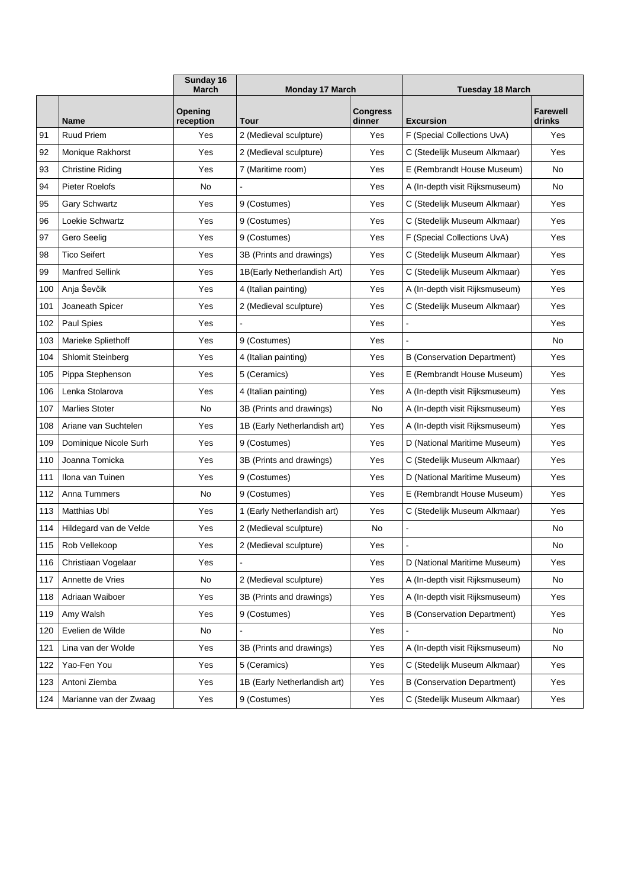|     |                          | Sunday 16<br><b>March</b> | <b>Monday 17 March</b>       |                           | <b>Tuesday 18 March</b>            |                           |
|-----|--------------------------|---------------------------|------------------------------|---------------------------|------------------------------------|---------------------------|
|     | Name                     | Opening<br>reception      | <b>Tour</b>                  | <b>Congress</b><br>dinner | <b>Excursion</b>                   | <b>Farewell</b><br>drinks |
| 91  | <b>Ruud Priem</b>        | Yes                       | 2 (Medieval sculpture)       | Yes                       | F (Special Collections UvA)        | Yes                       |
| 92  | Monique Rakhorst         | Yes                       | 2 (Medieval sculpture)       | Yes                       | C (Stedelijk Museum Alkmaar)       | Yes                       |
| 93  | <b>Christine Riding</b>  | Yes                       | 7 (Maritime room)            | Yes                       | E (Rembrandt House Museum)         | No                        |
| 94  | Pieter Roelofs           | No                        |                              | Yes                       | A (In-depth visit Rijksmuseum)     | No.                       |
| 95  | <b>Gary Schwartz</b>     | Yes                       | 9 (Costumes)                 | Yes                       | C (Stedelijk Museum Alkmaar)       | Yes                       |
| 96  | Loekie Schwartz          | Yes                       | 9 (Costumes)                 | Yes                       | C (Stedelijk Museum Alkmaar)       | Yes                       |
| 97  | Gero Seelig              | Yes                       | 9 (Costumes)                 | Yes                       | F (Special Collections UvA)        | Yes                       |
| 98  | <b>Tico Seifert</b>      | Yes                       | 3B (Prints and drawings)     | Yes                       | C (Stedelijk Museum Alkmaar)       | Yes                       |
| 99  | <b>Manfred Sellink</b>   | Yes                       | 1B(Early Netherlandish Art)  | Yes                       | C (Stedelijk Museum Alkmaar)       | Yes                       |
| 100 | Anja Ševčik              | Yes                       | 4 (Italian painting)         | Yes                       | A (In-depth visit Rijksmuseum)     | Yes                       |
| 101 | Joaneath Spicer          | Yes                       | 2 (Medieval sculpture)       | Yes                       | C (Stedelijk Museum Alkmaar)       | Yes                       |
| 102 | Paul Spies               | Yes                       |                              | Yes                       |                                    | Yes                       |
| 103 | Marieke Spliethoff       | Yes                       | 9 (Costumes)                 | Yes                       |                                    | No                        |
| 104 | <b>Shlomit Steinberg</b> | Yes                       | 4 (Italian painting)         | Yes                       | <b>B</b> (Conservation Department) | Yes                       |
| 105 | Pippa Stephenson         | Yes                       | 5 (Ceramics)                 | Yes                       | E (Rembrandt House Museum)         | Yes                       |
| 106 | Lenka Stolarova          | Yes                       | 4 (Italian painting)         | Yes                       | A (In-depth visit Rijksmuseum)     | Yes                       |
| 107 | <b>Marlies Stoter</b>    | No                        | 3B (Prints and drawings)     | No                        | A (In-depth visit Rijksmuseum)     | Yes                       |
| 108 | Ariane van Suchtelen     | Yes                       | 1B (Early Netherlandish art) | Yes                       | A (In-depth visit Rijksmuseum)     | Yes                       |
| 109 | Dominique Nicole Surh    | Yes                       | 9 (Costumes)                 | Yes                       | D (National Maritime Museum)       | Yes                       |
| 110 | Joanna Tomicka           | Yes                       | 3B (Prints and drawings)     | Yes                       | C (Stedelijk Museum Alkmaar)       | Yes                       |
| 111 | Ilona van Tuinen         | Yes                       | 9 (Costumes)                 | Yes                       | D (National Maritime Museum)       | Yes                       |
| 112 | Anna Tummers             | No                        | 9 (Costumes)                 | Yes                       | E (Rembrandt House Museum)         | Yes                       |
| 113 | <b>Matthias Ubl</b>      | Yes                       | 1 (Early Netherlandish art)  | Yes                       | C (Stedelijk Museum Alkmaar)       | Yes                       |
| 114 | Hildegard van de Velde   | Yes                       | 2 (Medieval sculpture)       | No                        |                                    | No                        |
| 115 | Rob Vellekoop            | Yes                       | 2 (Medieval sculpture)       | Yes                       |                                    | No                        |
| 116 | Christiaan Vogelaar      | Yes                       |                              | Yes                       | D (National Maritime Museum)       | Yes                       |
| 117 | Annette de Vries         | No                        | 2 (Medieval sculpture)       | Yes                       | A (In-depth visit Rijksmuseum)     | No                        |
| 118 | Adriaan Waiboer          | Yes                       | 3B (Prints and drawings)     | Yes                       | A (In-depth visit Rijksmuseum)     | Yes                       |
| 119 | Amy Walsh                | Yes                       | 9 (Costumes)                 | Yes                       | <b>B</b> (Conservation Department) | Yes                       |
| 120 | Evelien de Wilde         | No                        |                              | Yes                       |                                    | No                        |
| 121 | Lina van der Wolde       | Yes                       | 3B (Prints and drawings)     | Yes                       | A (In-depth visit Rijksmuseum)     | No                        |
| 122 | Yao-Fen You              | Yes                       | 5 (Ceramics)                 | Yes                       | C (Stedelijk Museum Alkmaar)       | Yes                       |
| 123 | Antoni Ziemba            | Yes                       | 1B (Early Netherlandish art) | Yes                       | <b>B</b> (Conservation Department) | Yes                       |
| 124 | Marianne van der Zwaag   | Yes                       | 9 (Costumes)                 | Yes                       | C (Stedelijk Museum Alkmaar)       | Yes                       |